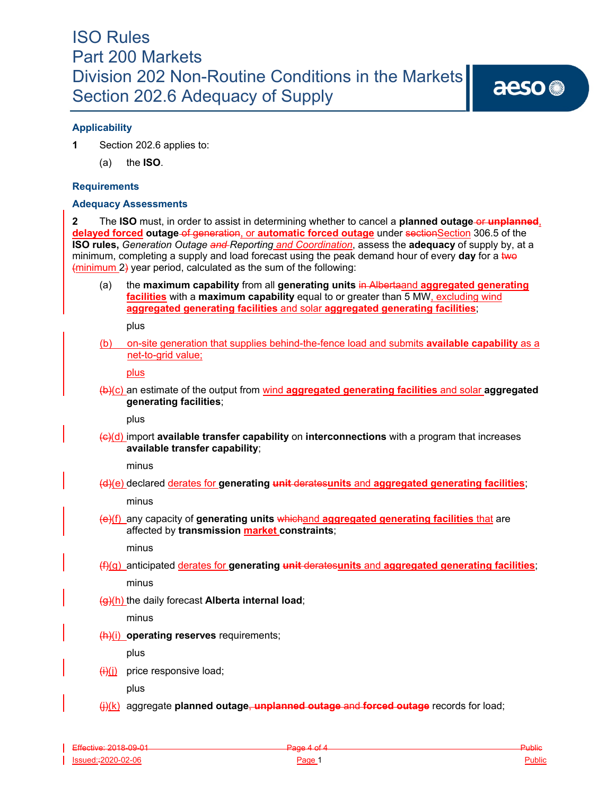## **Applicability**

**1** Section 202.6 applies to:

(a) the **ISO**.

#### **Requirements**

#### **Adequacy Assessments**

**2** The **ISO** must, in order to assist in determining whether to cancel a **planned outage-or unplanned**, **delayed forced outage of generation, or automatic forced outage** under sectionSection 306.5 of the **ISO rules,** *Generation Outage and Reporting and Coordination*, assess the **adequacy** of supply by, at a minimum, completing a supply and load forecast using the peak demand hour of every **day** for a two (minimum 2) year period, calculated as the sum of the following:

(a) the **maximum capability** from all **generating units** in Albertaand **aggregated generating facilities** with a **maximum capability** equal to or greater than 5 MW, excluding wind **aggregated generating facilities** and solar **aggregated generating facilities**;

plus

(b) on-site generation that supplies behind-the-fence load and submits **available capability** as a net-to-grid value;

plus

(b)(c) an estimate of the output from wind **aggregated generating facilities** and solar **aggregated generating facilities**;

plus

(c)(d) import **available transfer capability** on **interconnections** with a program that increases **available transfer capability**;

minus

(d)(e) declared derates for **generating unit** derates**units** and **aggregated generating facilities**;

minus

(e)(f) any capacity of **generating units** whichand **aggregated generating facilities** that are affected by **transmission market constraints**;

minus

(f)(g) anticipated derates for **generating unit** derates**units** and **aggregated generating facilities**;

minus

(g)(h) the daily forecast **Alberta internal load**;

minus

(h)(i) **operating reserves** requirements;

plus

 $\overline{f(x)}$  price responsive load;

plus

(j)(k) aggregate **planned outage**, **unplanned outage** and **forced outage** records for load;

Effective: 2018-09-01 Public Page 4 of 4 Public Page 4 of 4 Public Public Public Public Public Public Public Public Issued::2020-02-06 Public Public Public Page 1 Public Public Public Public Public Public Public Public Public Public Public Public Public Public Public Public Public Public Public Public Public Public Public Public Public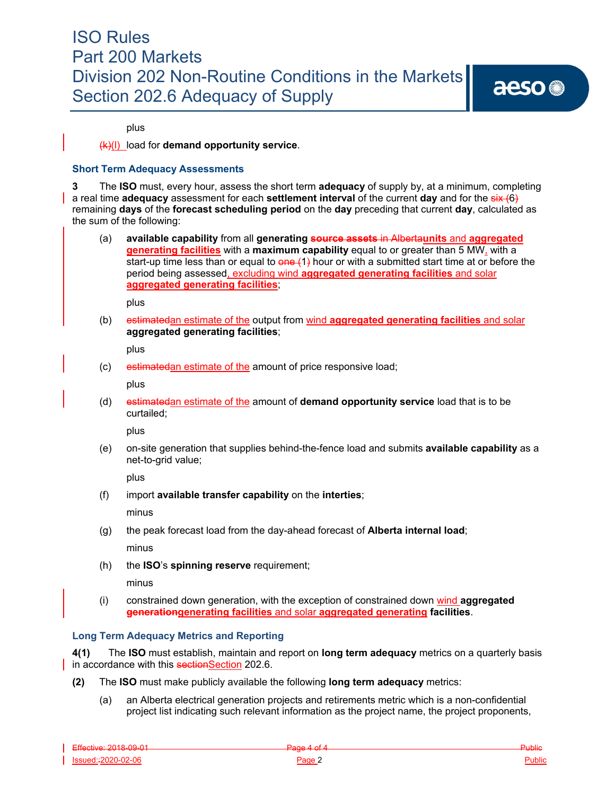aeso<sup>®</sup>

plus

#### (k)(l) load for **demand opportunity service**.

#### **Short Term Adequacy Assessments**

**3** The **ISO** must, every hour, assess the short term **adequacy** of supply by, at a minimum, completing a real time **adequacy** assessment for each **settlement interval** of the current **day** and for the six (6) remaining **days** of the **forecast scheduling period** on the **day** preceding that current **day**, calculated as the sum of the following:

(a) **available capability** from all **generating source assets** in Alberta**units** and **aggregated generating facilities** with a **maximum capability** equal to or greater than 5 MW, with a start-up time less than or equal to  $\theta$  one  $(1)$  hour or with a submitted start time at or before the period being assessed, excluding wind **aggregated generating facilities** and solar **aggregated generating facilities**;

plus

(b) estimatedan estimate of the output from wind **aggregated generating facilities** and solar **aggregated generating facilities**;

plus

(c) estimatedan estimate of the amount of price responsive load;

plus

(d) estimatedan estimate of the amount of **demand opportunity service** load that is to be curtailed;

plus

(e) on-site generation that supplies behind-the-fence load and submits **available capability** as a net-to-grid value;

plus

(f) import **available transfer capability** on the **interties**;

minus

- (g) the peak forecast load from the day-ahead forecast of **Alberta internal load**; minus
- (h) the **ISO**'s **spinning reserve** requirement;

minus

(i) constrained down generation, with the exception of constrained down wind **aggregated generationgenerating facilities** and solar **aggregated generating facilities**.

### **Long Term Adequacy Metrics and Reporting**

**4(1)** The **ISO** must establish, maintain and report on **long term adequacy** metrics on a quarterly basis in accordance with this sectionSection 202.6.

- **(2)** The **ISO** must make publicly available the following **long term adequacy** metrics:
	- (a) an Alberta electrical generation projects and retirements metric which is a non-confidential project list indicating such relevant information as the project name, the project proponents,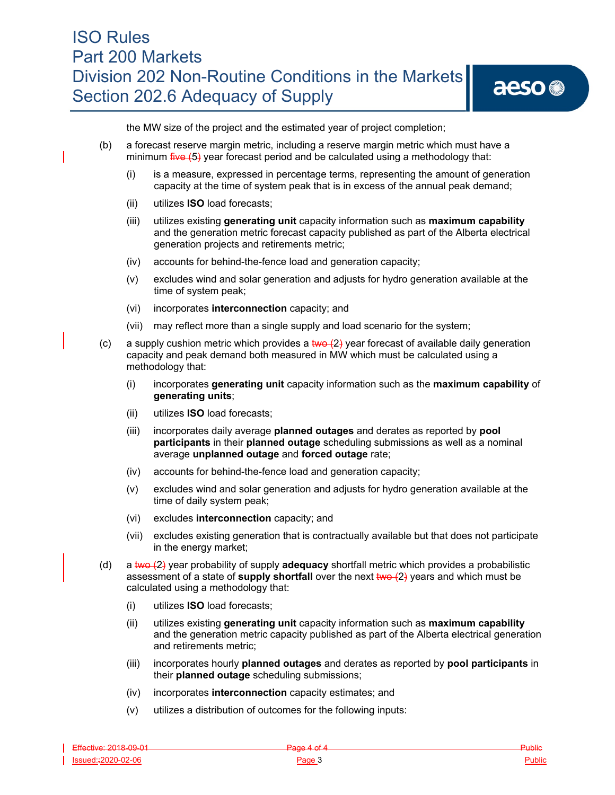the MW size of the project and the estimated year of project completion;

- (b) a forecast reserve margin metric, including a reserve margin metric which must have a minimum five (5) year forecast period and be calculated using a methodology that:
	- (i) is a measure, expressed in percentage terms, representing the amount of generation capacity at the time of system peak that is in excess of the annual peak demand;
	- (ii) utilizes **ISO** load forecasts;
	- (iii) utilizes existing **generating unit** capacity information such as **maximum capability**  and the generation metric forecast capacity published as part of the Alberta electrical generation projects and retirements metric;
	- (iv) accounts for behind-the-fence load and generation capacity;
	- (v) excludes wind and solar generation and adjusts for hydro generation available at the time of system peak;
	- (vi) incorporates **interconnection** capacity; and
	- (vii) may reflect more than a single supply and load scenario for the system;
- (c) a supply cushion metric which provides a  $\frac{1}{2}$  year forecast of available daily generation capacity and peak demand both measured in MW which must be calculated using a methodology that:
	- (i) incorporates **generating unit** capacity information such as the **maximum capability** of **generating units**;
	- (ii) utilizes **ISO** load forecasts;
	- (iii) incorporates daily average **planned outages** and derates as reported by **pool participants** in their **planned outage** scheduling submissions as well as a nominal average **unplanned outage** and **forced outage** rate;
	- (iv) accounts for behind-the-fence load and generation capacity;
	- (v) excludes wind and solar generation and adjusts for hydro generation available at the time of daily system peak;
	- (vi) excludes **interconnection** capacity; and
	- (vii) excludes existing generation that is contractually available but that does not participate in the energy market;
- (d) a two (2) year probability of supply **adequacy** shortfall metric which provides a probabilistic assessment of a state of **supply shortfall** over the next two  $(2)$  years and which must be calculated using a methodology that:
	- (i) utilizes **ISO** load forecasts;
	- (ii) utilizes existing **generating unit** capacity information such as **maximum capability**  and the generation metric capacity published as part of the Alberta electrical generation and retirements metric;
	- (iii) incorporates hourly **planned outages** and derates as reported by **pool participants** in their **planned outage** scheduling submissions;
	- (iv) incorporates **interconnection** capacity estimates; and
	- (v) utilizes a distribution of outcomes for the following inputs: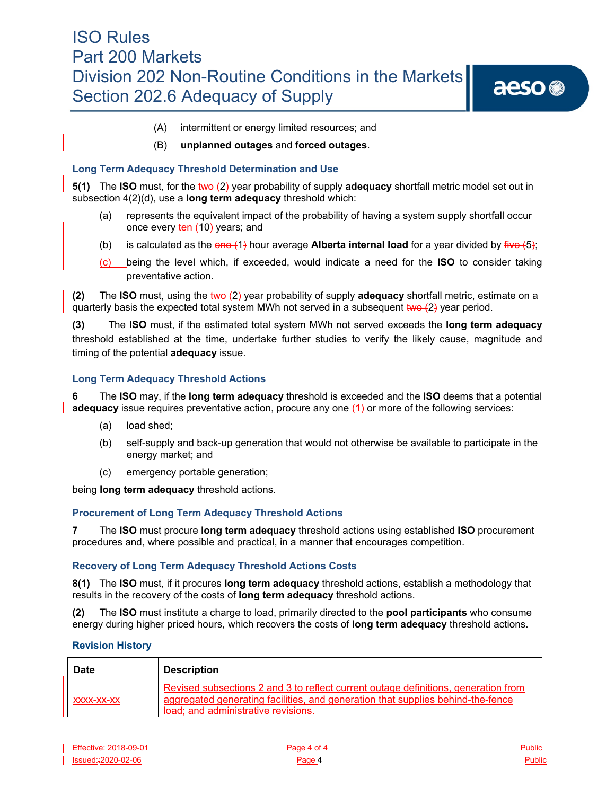aeso<sup>®</sup>

- (A) intermittent or energy limited resources; and
- (B) **unplanned outages** and **forced outages**.

### **Long Term Adequacy Threshold Determination and Use**

**5(1)** The **ISO** must, for the two  $(2)$  year probability of supply **adequacy** shortfall metric model set out in subsection 4(2)(d), use a **long term adequacy** threshold which:

- (a) represents the equivalent impact of the probability of having a system supply shortfall occur once every ten (10) years; and
- (b) is calculated as the  $\theta$ **ene** (1) hour average **Alberta internal load** for a year divided by  $\frac{f^2}{f^2}$  (5);
- (c) being the level which, if exceeded, would indicate a need for the **ISO** to consider taking preventative action.

**(2)** The **ISO** must, using the two (2) year probability of supply **adequacy** shortfall metric, estimate on a quarterly basis the expected total system MWh not served in a subsequent  $two + 2$  year period.

**(3)** The **ISO** must, if the estimated total system MWh not served exceeds the **long term adequacy**  threshold established at the time, undertake further studies to verify the likely cause, magnitude and timing of the potential **adequacy** issue.

### **Long Term Adequacy Threshold Actions**

**6** The **ISO** may, if the **long term adequacy** threshold is exceeded and the **ISO** deems that a potential **adequacy** issue requires preventative action, procure any one  $(1)$  or more of the following services:

- (a) load shed;
- (b) self-supply and back-up generation that would not otherwise be available to participate in the energy market; and
- (c) emergency portable generation;

being **long term adequacy** threshold actions.

### **Procurement of Long Term Adequacy Threshold Actions**

**7** The **ISO** must procure **long term adequacy** threshold actions using established **ISO** procurement procedures and, where possible and practical, in a manner that encourages competition.

### **Recovery of Long Term Adequacy Threshold Actions Costs**

**8(1)** The **ISO** must, if it procures **long term adequacy** threshold actions, establish a methodology that results in the recovery of the costs of **long term adequacy** threshold actions.

**(2)** The **ISO** must institute a charge to load, primarily directed to the **pool participants** who consume energy during higher priced hours, which recovers the costs of **long term adequacy** threshold actions.

#### **Revision History**

| <b>Date</b> | <b>Description</b>                                                                                                                                                                                           |
|-------------|--------------------------------------------------------------------------------------------------------------------------------------------------------------------------------------------------------------|
| XXXX-XX-XX  | Revised subsections 2 and 3 to reflect current outage definitions, generation from<br>aggregated generating facilities, and generation that supplies behind-the-fence<br>load; and administrative revisions. |